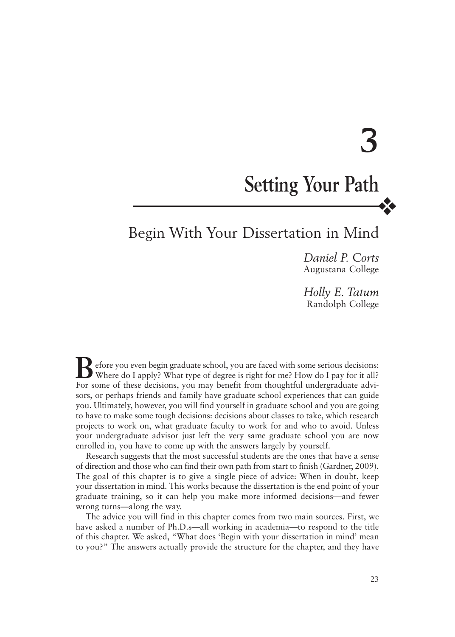# **3 Setting Your Path** ❖

# Begin With Your Dissertation in Mind

*Daniel P. Corts* Augustana College

*Holly E. Tatum* Randolph College

Before you even begin graduate school, you are faced with some serious decisions:<br>Where do I apply? What type of degree is right for me? How do I pay for it all? For some of these decisions, you may benefit from thoughtful undergraduate advisors, or perhaps friends and family have graduate school experiences that can guide you. Ultimately, however, you will find yourself in graduate school and you are going to have to make some tough decisions: decisions about classes to take, which research projects to work on, what graduate faculty to work for and who to avoid. Unless your undergraduate advisor just left the very same graduate school you are now enrolled in, you have to come up with the answers largely by yourself.

Research suggests that the most successful students are the ones that have a sense of direction and those who can find their own path from start to finish (Gardner, 2009). The goal of this chapter is to give a single piece of advice: When in doubt, keep your dissertation in mind. This works because the dissertation is the end point of your graduate training, so it can help you make more informed decisions—and fewer wrong turns—along the way.

The advice you will find in this chapter comes from two main sources. First, we have asked a number of Ph.D.s—all working in academia—to respond to the title of this chapter. We asked, "What does 'Begin with your dissertation in mind' mean to you?" The answers actually provide the structure for the chapter, and they have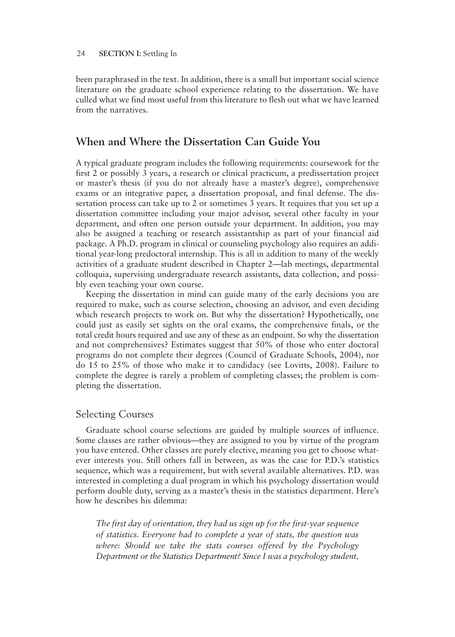been paraphrased in the text. In addition, there is a small but important social science literature on the graduate school experience relating to the dissertation. We have culled what we find most useful from this literature to flesh out what we have learned from the narratives.

#### **When and Where the Dissertation Can Guide You**

A typical graduate program includes the following requirements: coursework for the first 2 or possibly 3 years, a research or clinical practicum, a predissertation project or master's thesis (if you do not already have a master's degree), comprehensive exams or an integrative paper, a dissertation proposal, and final defense. The dissertation process can take up to 2 or sometimes 3 years. It requires that you set up a dissertation committee including your major advisor, several other faculty in your department, and often one person outside your department. In addition, you may also be assigned a teaching or research assistantship as part of your financial aid package. A Ph.D. program in clinical or counseling psychology also requires an additional year-long predoctoral internship. This is all in addition to many of the weekly activities of a graduate student described in Chapter 2—lab meetings, departmental colloquia, supervising undergraduate research assistants, data collection, and possibly even teaching your own course.

Keeping the dissertation in mind can guide many of the early decisions you are required to make, such as course selection, choosing an advisor, and even deciding which research projects to work on. But why the dissertation? Hypothetically, one could just as easily set sights on the oral exams, the comprehensive finals, or the total credit hours required and use any of these as an endpoint. So why the dissertation and not comprehensives? Estimates suggest that 50% of those who enter doctoral programs do not complete their degrees (Council of Graduate Schools, 2004), nor do 15 to 25% of those who make it to candidacy (see Lovitts, 2008). Failure to complete the degree is rarely a problem of completing classes; the problem is completing the dissertation.

#### Selecting Courses

Graduate school course selections are guided by multiple sources of influence. Some classes are rather obvious—they are assigned to you by virtue of the program you have entered. Other classes are purely elective, meaning you get to choose whatever interests you. Still others fall in between, as was the case for P.D.'s statistics sequence, which was a requirement, but with several available alternatives. P.D. was interested in completing a dual program in which his psychology dissertation would perform double duty, serving as a master's thesis in the statistics department. Here's how he describes his dilemma:

*The first day of orientation, they had us sign up for the first-year sequence of statistics. Everyone had to complete a year of stats, the question was where: Should we take the stats courses offered by the Psychology Department or the Statistics Department? Since I was a psychology student,*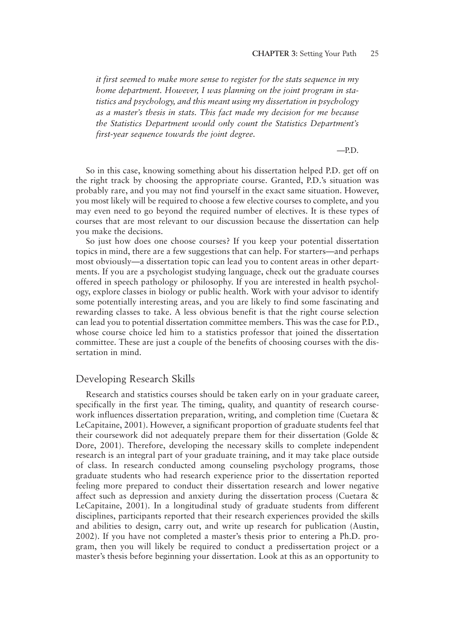*it first seemed to make more sense to register for the stats sequence in my home department. However, I was planning on the joint program in statistics and psychology, and this meant using my dissertation in psychology as a master's thesis in stats. This fact made my decision for me because the Statistics Department would only count the Statistics Department's first-year sequence towards the joint degree.*

—P.D.

So in this case, knowing something about his dissertation helped P.D. get off on the right track by choosing the appropriate course. Granted, P.D.'s situation was probably rare, and you may not find yourself in the exact same situation. However, you most likely will be required to choose a few elective courses to complete, and you may even need to go beyond the required number of electives. It is these types of courses that are most relevant to our discussion because the dissertation can help you make the decisions.

So just how does one choose courses? If you keep your potential dissertation topics in mind, there are a few suggestions that can help. For starters—and perhaps most obviously—a dissertation topic can lead you to content areas in other departments. If you are a psychologist studying language, check out the graduate courses offered in speech pathology or philosophy. If you are interested in health psychology, explore classes in biology or public health. Work with your advisor to identify some potentially interesting areas, and you are likely to find some fascinating and rewarding classes to take. A less obvious benefit is that the right course selection can lead you to potential dissertation committee members. This was the case for P.D., whose course choice led him to a statistics professor that joined the dissertation committee. These are just a couple of the benefits of choosing courses with the dissertation in mind.

#### Developing Research Skills

Research and statistics courses should be taken early on in your graduate career, specifically in the first year. The timing, quality, and quantity of research coursework influences dissertation preparation, writing, and completion time (Cuetara & LeCapitaine, 2001). However, a significant proportion of graduate students feel that their coursework did not adequately prepare them for their dissertation (Golde & Dore, 2001). Therefore, developing the necessary skills to complete independent research is an integral part of your graduate training, and it may take place outside of class. In research conducted among counseling psychology programs, those graduate students who had research experience prior to the dissertation reported feeling more prepared to conduct their dissertation research and lower negative affect such as depression and anxiety during the dissertation process (Cuetara & LeCapitaine, 2001). In a longitudinal study of graduate students from different disciplines, participants reported that their research experiences provided the skills and abilities to design, carry out, and write up research for publication (Austin, 2002). If you have not completed a master's thesis prior to entering a Ph.D. program, then you will likely be required to conduct a predissertation project or a master's thesis before beginning your dissertation. Look at this as an opportunity to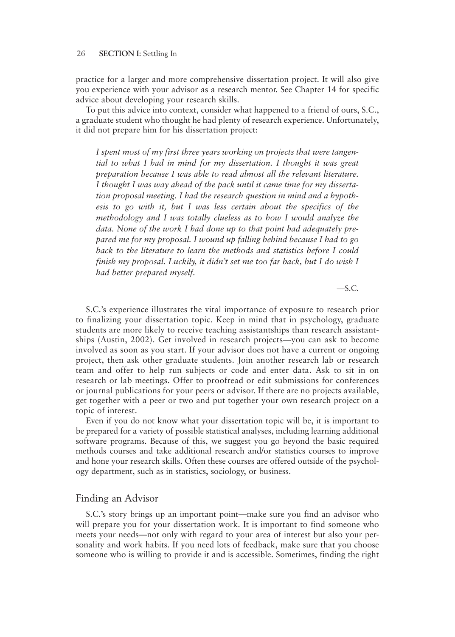#### 26 **SECTION I:** Settling In

practice for a larger and more comprehensive dissertation project. It will also give you experience with your advisor as a research mentor. See Chapter 14 for specific advice about developing your research skills.

To put this advice into context, consider what happened to a friend of ours, S.C., a graduate student who thought he had plenty of research experience. Unfortunately, it did not prepare him for his dissertation project:

*I spent most of my first three years working on projects that were tangential to what I had in mind for my dissertation. I thought it was great preparation because I was able to read almost all the relevant literature. I thought I was way ahead of the pack until it came time for my dissertation proposal meeting. I had the research question in mind and a hypothesis to go with it, but I was less certain about the specifics of the methodology and I was totally clueless as to how I would analyze the data. None of the work I had done up to that point had adequately prepared me for my proposal. I wound up falling behind because I had to go back to the literature to learn the methods and statistics before I could finish my proposal. Luckily, it didn't set me too far back, but I do wish I had better prepared myself.*

 $-$ S.C.

S.C.'s experience illustrates the vital importance of exposure to research prior to finalizing your dissertation topic. Keep in mind that in psychology, graduate students are more likely to receive teaching assistantships than research assistantships (Austin, 2002). Get involved in research projects—you can ask to become involved as soon as you start. If your advisor does not have a current or ongoing project, then ask other graduate students. Join another research lab or research team and offer to help run subjects or code and enter data. Ask to sit in on research or lab meetings. Offer to proofread or edit submissions for conferences or journal publications for your peers or advisor. If there are no projects available, get together with a peer or two and put together your own research project on a topic of interest.

Even if you do not know what your dissertation topic will be, it is important to be prepared for a variety of possible statistical analyses, including learning additional software programs. Because of this, we suggest you go beyond the basic required methods courses and take additional research and/or statistics courses to improve and hone your research skills. Often these courses are offered outside of the psychology department, such as in statistics, sociology, or business.

#### Finding an Advisor

S.C.'s story brings up an important point—make sure you find an advisor who will prepare you for your dissertation work. It is important to find someone who meets your needs—not only with regard to your area of interest but also your personality and work habits. If you need lots of feedback, make sure that you choose someone who is willing to provide it and is accessible. Sometimes, finding the right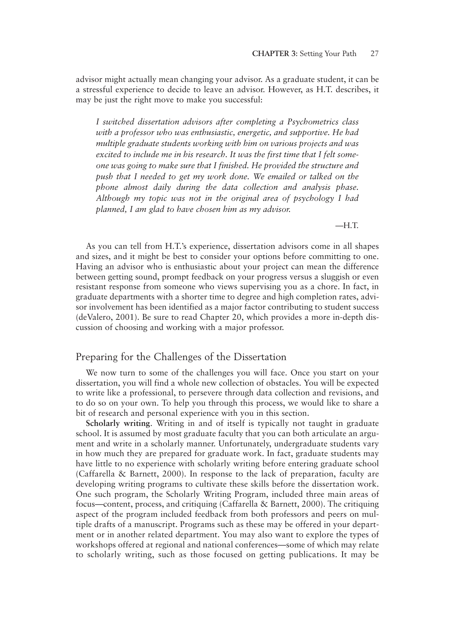advisor might actually mean changing your advisor. As a graduate student, it can be a stressful experience to decide to leave an advisor. However, as H.T. describes, it may be just the right move to make you successful:

*I switched dissertation advisors after completing a Psychometrics class with a professor who was enthusiastic, energetic, and supportive. He had multiple graduate students working with him on various projects and was excited to include me in his research. It was the first time that I felt someone was going to make sure that I finished. He provided the structure and push that I needed to get my work done. We emailed or talked on the phone almost daily during the data collection and analysis phase. Although my topic was not in the original area of psychology I had planned, I am glad to have chosen him as my advisor.*

 $-H.T.$ 

As you can tell from H.T.'s experience, dissertation advisors come in all shapes and sizes, and it might be best to consider your options before committing to one. Having an advisor who is enthusiastic about your project can mean the difference between getting sound, prompt feedback on your progress versus a sluggish or even resistant response from someone who views supervising you as a chore. In fact, in graduate departments with a shorter time to degree and high completion rates, advisor involvement has been identified as a major factor contributing to student success (deValero, 2001). Be sure to read Chapter 20, which provides a more in-depth discussion of choosing and working with a major professor.

#### Preparing for the Challenges of the Dissertation

We now turn to some of the challenges you will face. Once you start on your dissertation, you will find a whole new collection of obstacles. You will be expected to write like a professional, to persevere through data collection and revisions, and to do so on your own. To help you through this process, we would like to share a bit of research and personal experience with you in this section.

**Scholarly writing**. Writing in and of itself is typically not taught in graduate school. It is assumed by most graduate faculty that you can both articulate an argument and write in a scholarly manner. Unfortunately, undergraduate students vary in how much they are prepared for graduate work. In fact, graduate students may have little to no experience with scholarly writing before entering graduate school (Caffarella & Barnett, 2000). In response to the lack of preparation, faculty are developing writing programs to cultivate these skills before the dissertation work. One such program, the Scholarly Writing Program, included three main areas of focus—content, process, and critiquing (Caffarella & Barnett, 2000). The critiquing aspect of the program included feedback from both professors and peers on multiple drafts of a manuscript. Programs such as these may be offered in your department or in another related department. You may also want to explore the types of workshops offered at regional and national conferences—some of which may relate to scholarly writing, such as those focused on getting publications. It may be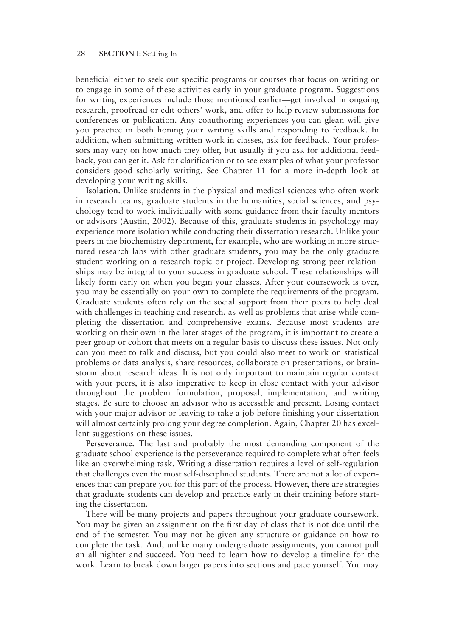#### 28 **SECTION I:** Settling In

beneficial either to seek out specific programs or courses that focus on writing or to engage in some of these activities early in your graduate program. Suggestions for writing experiences include those mentioned earlier—get involved in ongoing research, proofread or edit others' work, and offer to help review submissions for conferences or publication. Any coauthoring experiences you can glean will give you practice in both honing your writing skills and responding to feedback. In addition, when submitting written work in classes, ask for feedback. Your professors may vary on how much they offer, but usually if you ask for additional feedback, you can get it. Ask for clarification or to see examples of what your professor considers good scholarly writing. See Chapter 11 for a more in-depth look at developing your writing skills.

**Isolation.** Unlike students in the physical and medical sciences who often work in research teams, graduate students in the humanities, social sciences, and psychology tend to work individually with some guidance from their faculty mentors or advisors (Austin, 2002). Because of this, graduate students in psychology may experience more isolation while conducting their dissertation research. Unlike your peers in the biochemistry department, for example, who are working in more structured research labs with other graduate students, you may be the only graduate student working on a research topic or project. Developing strong peer relationships may be integral to your success in graduate school. These relationships will likely form early on when you begin your classes. After your coursework is over, you may be essentially on your own to complete the requirements of the program. Graduate students often rely on the social support from their peers to help deal with challenges in teaching and research, as well as problems that arise while completing the dissertation and comprehensive exams. Because most students are working on their own in the later stages of the program, it is important to create a peer group or cohort that meets on a regular basis to discuss these issues. Not only can you meet to talk and discuss, but you could also meet to work on statistical problems or data analysis, share resources, collaborate on presentations, or brainstorm about research ideas. It is not only important to maintain regular contact with your peers, it is also imperative to keep in close contact with your advisor throughout the problem formulation, proposal, implementation, and writing stages. Be sure to choose an advisor who is accessible and present. Losing contact with your major advisor or leaving to take a job before finishing your dissertation will almost certainly prolong your degree completion. Again, Chapter 20 has excellent suggestions on these issues.

**Perseverance.** The last and probably the most demanding component of the graduate school experience is the perseverance required to complete what often feels like an overwhelming task. Writing a dissertation requires a level of self-regulation that challenges even the most self-disciplined students. There are not a lot of experiences that can prepare you for this part of the process. However, there are strategies that graduate students can develop and practice early in their training before starting the dissertation.

There will be many projects and papers throughout your graduate coursework. You may be given an assignment on the first day of class that is not due until the end of the semester. You may not be given any structure or guidance on how to complete the task. And, unlike many undergraduate assignments, you cannot pull an all-nighter and succeed. You need to learn how to develop a timeline for the work. Learn to break down larger papers into sections and pace yourself. You may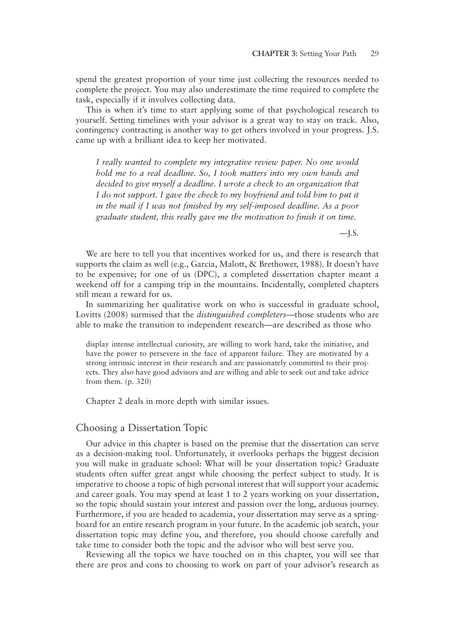spend the greatest proportion of your time just collecting the resources needed to complete the project. You may also underestimate the time required to complete the task, especially if it involves collecting data.

This is when it's time to start applying some of that psychological research to yourself. Setting timelines with your advisor is a great way to stay on track. Also, contingency contracting is another way to get others involved in your progress. J.S. came up with a brilliant idea to keep her motivated.

*I really wanted to complete my integrative review paper. No one would hold me to a real deadline. So, I took matters into my own hands and decided to give myself a deadline. I wrote a check to an organization that I do not support. I gave the check to my boyfriend and told him to put it in the mail if I was not finished by my self-imposed deadline. As a poor graduate student, this really gave me the motivation to finish it on time.*

 $-I.S.$ 

We are here to tell you that incentives worked for us, and there is research that supports the claim as well (e.g., Garcia, Malott, & Brethower, 1988). It doesn't have to be expensive; for one of us (DPC), a completed dissertation chapter meant a weekend off for a camping trip in the mountains. Incidentally, completed chapters still mean a reward for us.

In summarizing her qualitative work on who is successful in graduate school, Lovitts (2008) surmised that the *distinguished completers*—those students who are able to make the transition to independent research—are described as those who

display intense intellectual curiosity, are willing to work hard, take the initiative, and have the power to persevere in the face of apparent failure. They are motivated by a strong intrinsic interest in their research and are passionately committed to their projects. They also have good advisors and are willing and able to seek out and take advice from them. (p. 320)

Chapter 2 deals in more depth with similar issues.

#### Choosing a Dissertation Topic

Our advice in this chapter is based on the premise that the dissertation can serve as a decision-making tool. Unfortunately, it overlooks perhaps the biggest decision you will make in graduate school: What will be your dissertation topic? Graduate students often suffer great angst while choosing the perfect subject to study. It is imperative to choose a topic of high personal interest that will support your academic and career goals. You may spend at least 1 to 2 years working on your dissertation, so the topic should sustain your interest and passion over the long, arduous journey. Furthermore, if you are headed to academia, your dissertation may serve as a springboard for an entire research program in your future. In the academic job search, your dissertation topic may define you, and therefore, you should choose carefully and take time to consider both the topic and the advisor who will best serve you.

Reviewing all the topics we have touched on in this chapter, you will see that there are pros and cons to choosing to work on part of your advisor's research as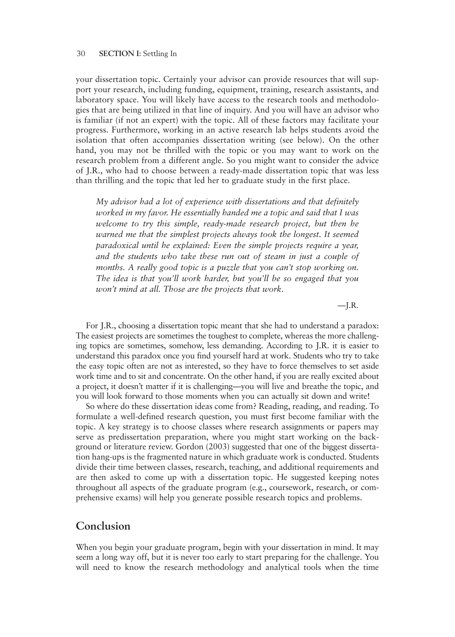#### 30 **SECTION I:** Settling In

your dissertation topic. Certainly your advisor can provide resources that will support your research, including funding, equipment, training, research assistants, and laboratory space. You will likely have access to the research tools and methodologies that are being utilized in that line of inquiry. And you will have an advisor who is familiar (if not an expert) with the topic. All of these factors may facilitate your progress. Furthermore, working in an active research lab helps students avoid the isolation that often accompanies dissertation writing (see below). On the other hand, you may not be thrilled with the topic or you may want to work on the research problem from a different angle. So you might want to consider the advice of J.R., who had to choose between a ready-made dissertation topic that was less than thrilling and the topic that led her to graduate study in the first place.

*My advisor had a lot of experience with dissertations and that definitely worked in my favor. He essentially handed me a topic and said that I was welcome to try this simple, ready-made research project, but then he warned me that the simplest projects always took the longest. It seemed paradoxical until he explained: Even the simple projects require a year, and the students who take these run out of steam in just a couple of months. A really good topic is a puzzle that you can't stop working on. The idea is that you'll work harder, but you'll be so engaged that you won't mind at all. Those are the projects that work.*

 $-I.R.$ 

For J.R., choosing a dissertation topic meant that she had to understand a paradox: The easiest projects are sometimes the toughest to complete, whereas the more challenging topics are sometimes, somehow, less demanding. According to J.R. it is easier to understand this paradox once you find yourself hard at work. Students who try to take the easy topic often are not as interested, so they have to force themselves to set aside work time and to sit and concentrate. On the other hand, if you are really excited about a project, it doesn't matter if it is challenging—you will live and breathe the topic, and you will look forward to those moments when you can actually sit down and write!

So where do these dissertation ideas come from? Reading, reading, and reading. To formulate a well-defined research question, you must first become familiar with the topic. A key strategy is to choose classes where research assignments or papers may serve as predissertation preparation, where you might start working on the background or literature review. Gordon (2003) suggested that one of the biggest dissertation hang-ups is the fragmented nature in which graduate work is conducted. Students divide their time between classes, research, teaching, and additional requirements and are then asked to come up with a dissertation topic. He suggested keeping notes throughout all aspects of the graduate program (e.g., coursework, research, or comprehensive exams) will help you generate possible research topics and problems.

#### **Conclusion**

When you begin your graduate program, begin with your dissertation in mind. It may seem a long way off, but it is never too early to start preparing for the challenge. You will need to know the research methodology and analytical tools when the time